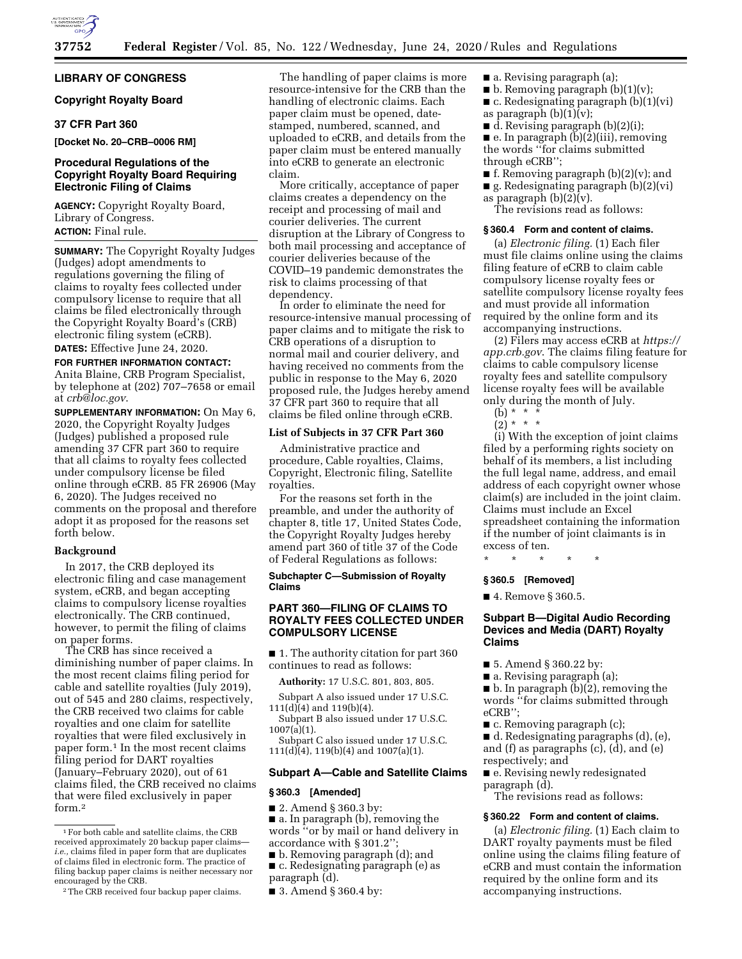

#### **LIBRARY OF CONGRESS**

# **Copyright Royalty Board**

## **37 CFR Part 360**

#### **[Docket No. 20–CRB–0006 RM]**

## **Procedural Regulations of the Copyright Royalty Board Requiring Electronic Filing of Claims**

**AGENCY:** Copyright Royalty Board, Library of Congress. **ACTION:** Final rule.

**SUMMARY:** The Copyright Royalty Judges (Judges) adopt amendments to regulations governing the filing of claims to royalty fees collected under compulsory license to require that all claims be filed electronically through the Copyright Royalty Board's (CRB) electronic filing system (eCRB). **DATES:** Effective June 24, 2020.

#### **FOR FURTHER INFORMATION CONTACT:**

Anita Blaine, CRB Program Specialist, by telephone at (202) 707–7658 or email at *[crb@loc.gov](mailto:crb@loc.gov)*.

**SUPPLEMENTARY INFORMATION:** On May 6, 2020, the Copyright Royalty Judges (Judges) published a proposed rule amending 37 CFR part 360 to require that all claims to royalty fees collected under compulsory license be filed online through eCRB. 85 FR 26906 (May 6, 2020). The Judges received no comments on the proposal and therefore adopt it as proposed for the reasons set forth below.

#### **Background**

In 2017, the CRB deployed its electronic filing and case management system, eCRB, and began accepting claims to compulsory license royalties electronically. The CRB continued, however, to permit the filing of claims on paper forms.

The CRB has since received a diminishing number of paper claims. In the most recent claims filing period for cable and satellite royalties (July 2019), out of 545 and 280 claims, respectively, the CRB received two claims for cable royalties and one claim for satellite royalties that were filed exclusively in paper form.1 In the most recent claims filing period for DART royalties (January–February 2020), out of 61 claims filed, the CRB received no claims that were filed exclusively in paper form.2

The handling of paper claims is more resource-intensive for the CRB than the handling of electronic claims. Each paper claim must be opened, datestamped, numbered, scanned, and uploaded to eCRB, and details from the paper claim must be entered manually into eCRB to generate an electronic claim.

More critically, acceptance of paper claims creates a dependency on the receipt and processing of mail and courier deliveries. The current disruption at the Library of Congress to both mail processing and acceptance of courier deliveries because of the COVID–19 pandemic demonstrates the risk to claims processing of that dependency.

In order to eliminate the need for resource-intensive manual processing of paper claims and to mitigate the risk to CRB operations of a disruption to normal mail and courier delivery, and having received no comments from the public in response to the May 6, 2020 proposed rule, the Judges hereby amend 37 CFR part 360 to require that all claims be filed online through eCRB.

#### **List of Subjects in 37 CFR Part 360**

Administrative practice and procedure, Cable royalties, Claims, Copyright, Electronic filing, Satellite royalties.

For the reasons set forth in the preamble, and under the authority of chapter 8, title 17, United States Code, the Copyright Royalty Judges hereby amend part 360 of title 37 of the Code of Federal Regulations as follows:

**Subchapter C—Submission of Royalty Claims** 

# **PART 360—FILING OF CLAIMS TO ROYALTY FEES COLLECTED UNDER COMPULSORY LICENSE**

■ 1. The authority citation for part 360 continues to read as follows:

**Authority:** 17 U.S.C. 801, 803, 805.

Subpart A also issued under 17 U.S.C.  $111(d)(4)$  and  $119(b)(4)$ .

Subpart B also issued under 17 U.S.C. 1007(a)(1).

Subpart C also issued under 17 U.S.C.  $111(d)(4)$ ,  $119(b)(4)$  and  $1007(a)(1)$ .

# **Subpart A—Cable and Satellite Claims**

## **§ 360.3 [Amended]**

- 2. Amend § 360.3 by:
- a. In paragraph (b), removing the words ''or by mail or hand delivery in accordance with § 301.2"

■ b. Removing paragraph (d); and

■ c. Redesignating paragraph (e) as paragraph (d).

■ 3. Amend § 360.4 by:

- a. Revising paragraph (a);
- $\blacksquare$  b. Removing paragraph (b)(1)(v);
- $\blacksquare$  c. Redesignating paragraph (b)(1)(vi) as paragraph  $(b)(1)(v)$ ;
- $\blacksquare$  d. Revising paragraph (b)(2)(i);

 $\blacksquare$  e. In paragraph  $\binom{5}{2}$ (iii), removing the words ''for claims submitted through eCRB'';

- $\blacksquare$  f. Removing paragraph (b)(2)(v); and
- g. Redesignating paragraph (b)(2)(vi)

as paragraph  $(b)(2)(v)$ .

The revisions read as follows:

## **§ 360.4 Form and content of claims.**

(a) *Electronic filing.* (1) Each filer must file claims online using the claims filing feature of eCRB to claim cable compulsory license royalty fees or satellite compulsory license royalty fees and must provide all information required by the online form and its accompanying instructions.

(2) Filers may access eCRB at *[https://](https://app.crb.gov) [app.crb.gov](https://app.crb.gov)*. The claims filing feature for claims to cable compulsory license royalty fees and satellite compulsory license royalty fees will be available only during the month of July.

- $(b) * * * *$
- $(2) * * * *$

(i) With the exception of joint claims filed by a performing rights society on behalf of its members, a list including the full legal name, address, and email address of each copyright owner whose claim(s) are included in the joint claim. Claims must include an Excel spreadsheet containing the information if the number of joint claimants is in excess of ten.

\* \* \* \* \*

#### **§ 360.5 [Removed]**

■ 4. Remove § 360.5.

# **Subpart B—Digital Audio Recording Devices and Media (DART) Royalty Claims**

- 5. Amend § 360.22 by:
- a. Revising paragraph (a);

■ b. In paragraph (b)(2), removing the words ''for claims submitted through eCRB'';

■ c. Removing paragraph (c);

■ d. Redesignating paragraphs (d), (e), and (f) as paragraphs (c), (d), and (e) respectively; and

■ e. Revising newly redesignated paragraph (d).

The revisions read as follows:

#### **§ 360.22 Form and content of claims.**

(a) *Electronic filing.* (1) Each claim to DART royalty payments must be filed online using the claims filing feature of eCRB and must contain the information required by the online form and its accompanying instructions.

<sup>1</sup>For both cable and satellite claims, the CRB received approximately 20 backup paper claims *i.e.,* claims filed in paper form that are duplicates of claims filed in electronic form. The practice of filing backup paper claims is neither necessary nor encouraged by the CRB.

<sup>2</sup>The CRB received four backup paper claims.